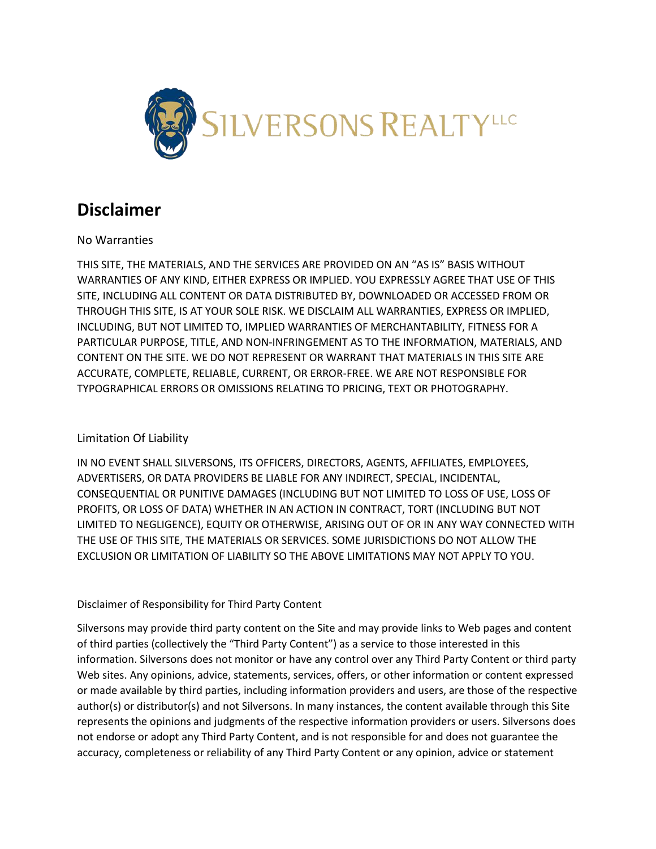

## **Disclaimer**

## No Warranties

THIS SITE, THE MATERIALS, AND THE SERVICES ARE PROVIDED ON AN "AS IS" BASIS WITHOUT WARRANTIES OF ANY KIND, EITHER EXPRESS OR IMPLIED. YOU EXPRESSLY AGREE THAT USE OF THIS SITE, INCLUDING ALL CONTENT OR DATA DISTRIBUTED BY, DOWNLOADED OR ACCESSED FROM OR THROUGH THIS SITE, IS AT YOUR SOLE RISK. WE DISCLAIM ALL WARRANTIES, EXPRESS OR IMPLIED, INCLUDING, BUT NOT LIMITED TO, IMPLIED WARRANTIES OF MERCHANTABILITY, FITNESS FOR A PARTICULAR PURPOSE, TITLE, AND NON-INFRINGEMENT AS TO THE INFORMATION, MATERIALS, AND CONTENT ON THE SITE. WE DO NOT REPRESENT OR WARRANT THAT MATERIALS IN THIS SITE ARE ACCURATE, COMPLETE, RELIABLE, CURRENT, OR ERROR-FREE. WE ARE NOT RESPONSIBLE FOR TYPOGRAPHICAL ERRORS OR OMISSIONS RELATING TO PRICING, TEXT OR PHOTOGRAPHY.

## Limitation Of Liability

IN NO EVENT SHALL SILVERSONS, ITS OFFICERS, DIRECTORS, AGENTS, AFFILIATES, EMPLOYEES, ADVERTISERS, OR DATA PROVIDERS BE LIABLE FOR ANY INDIRECT, SPECIAL, INCIDENTAL, CONSEQUENTIAL OR PUNITIVE DAMAGES (INCLUDING BUT NOT LIMITED TO LOSS OF USE, LOSS OF PROFITS, OR LOSS OF DATA) WHETHER IN AN ACTION IN CONTRACT, TORT (INCLUDING BUT NOT LIMITED TO NEGLIGENCE), EQUITY OR OTHERWISE, ARISING OUT OF OR IN ANY WAY CONNECTED WITH THE USE OF THIS SITE, THE MATERIALS OR SERVICES. SOME JURISDICTIONS DO NOT ALLOW THE EXCLUSION OR LIMITATION OF LIABILITY SO THE ABOVE LIMITATIONS MAY NOT APPLY TO YOU.

## Disclaimer of Responsibility for Third Party Content

Silversons may provide third party content on the Site and may provide links to Web pages and content of third parties (collectively the "Third Party Content") as a service to those interested in this information. Silversons does not monitor or have any control over any Third Party Content or third party Web sites. Any opinions, advice, statements, services, offers, or other information or content expressed or made available by third parties, including information providers and users, are those of the respective author(s) or distributor(s) and not Silversons. In many instances, the content available through this Site represents the opinions and judgments of the respective information providers or users. Silversons does not endorse or adopt any Third Party Content, and is not responsible for and does not guarantee the accuracy, completeness or reliability of any Third Party Content or any opinion, advice or statement